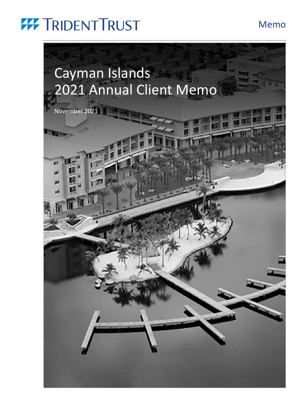### Memo

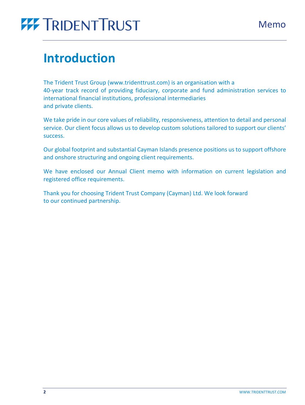## **Introduction**

The Trident Trust Group (www.tridenttrust.com) is an organisation with a 40-year track record of providing fiduciary, corporate and fund administration services to international financial institutions, professional intermediaries and private clients.

We take pride in our core values of reliability, responsiveness, attention to detail and personal service. Our client focus allows us to develop custom solutions tailored to support our clients' success.

Our global footprint and substantial Cayman Islands presence positions us to support offshore and onshore structuring and ongoing client requirements.

We have enclosed our Annual Client memo with information on current legislation and registered office requirements.

Thank you for choosing Trident Trust Company (Cayman) Ltd. We look forward to our continued partnership.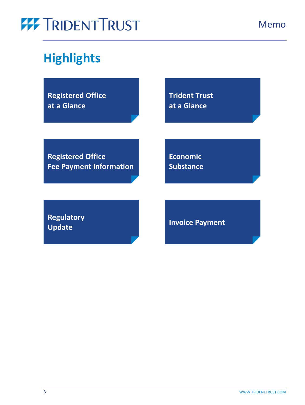## **Highlights**

**[Registered Office](#page-3-0)  at a Glance**

**[Trident Trust](#page-5-0)  at a Glance**

**Registered Office [Fee Payment Information](#page-7-0)** **Economic [Substance](#page-8-0)**

**[Regulatory](#page-10-0)  Update [Invoice Payment](https://www.tridenttrust.com/client-login/)**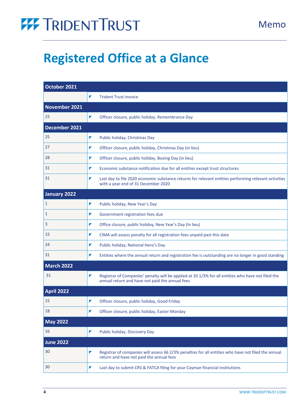## <span id="page-3-1"></span><span id="page-3-0"></span>**Registered Office at a Glance**

| October 2021      |                                                                                                                                                            |
|-------------------|------------------------------------------------------------------------------------------------------------------------------------------------------------|
|                   | ▼<br><b>Trident Trust invoice</b>                                                                                                                          |
| November 2021     |                                                                                                                                                            |
| 15                | Officer closure, public holiday, Remembrance Day<br>▼                                                                                                      |
| December 2021     |                                                                                                                                                            |
| 25                | ▼<br>Public holiday, Christmas Day                                                                                                                         |
| 27                | Officer closure, public holiday, Christmas Day (in lieu)<br>▼                                                                                              |
| 28                | Officer closure, public holiday, Boxing Day (in lieu)<br>▼                                                                                                 |
| 31                | Economic substance notification due for all entities except trust structures<br>◤                                                                          |
| 31                | ▼<br>Last day to file 2020 economic substance returns for relevant entities performing relevant activities<br>with a year end of 31 December 2020          |
| January 2022      |                                                                                                                                                            |
| $\mathbf{1}$      | ▼<br>Public holiday, New Year's Day                                                                                                                        |
| 1                 | Government registration fees due<br>◤                                                                                                                      |
| 3                 | ▼<br>Office closure, public holiday, New Year's Day (In lieu)                                                                                              |
| 15                | CIMA will assess penalty for all registration fees unpaid past this date<br>◤                                                                              |
| 24                | Public holiday, National Hero's Day<br>◤                                                                                                                   |
| 31                | Entities where the annual return and registration fee is outstanding are no longer in good standing<br>▼                                                   |
| <b>March 2022</b> |                                                                                                                                                            |
| 31                | Registrar of Companies' penalty will be applied at 33 1/3% for all entities who have not filed the<br>▼<br>annual return and have not paid the annual fees |
| <b>April 2022</b> |                                                                                                                                                            |
| 15                | ▼<br>Officer closure, public holiday, Good Friday                                                                                                          |
| 18                | Officer closure, public holiday, Easter Monday<br>▼                                                                                                        |
| <b>May 2022</b>   |                                                                                                                                                            |
| 16                | Public holiday, Discovery Day<br>◤                                                                                                                         |
| <b>June 2022</b>  |                                                                                                                                                            |
| 30                | Registrar of companies will assess 66 2/3% penalties for all entities who have not filed the annual<br>▼<br>return and have not paid the annual fees       |
| 30                | Last day to submit CRS & FATCA filing for your Cayman financial institutions<br>▼                                                                          |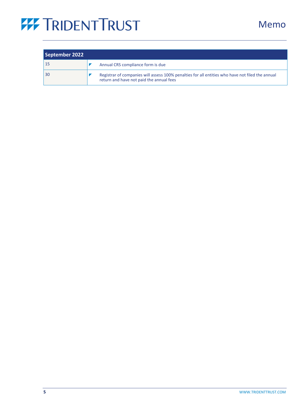| September 2022 |                                                                                                                                              |
|----------------|----------------------------------------------------------------------------------------------------------------------------------------------|
| 15             | Annual CRS compliance form is due                                                                                                            |
| 30             | Registrar of companies will assess 100% penalties for all entities who have not filed the annual<br>return and have not paid the annual fees |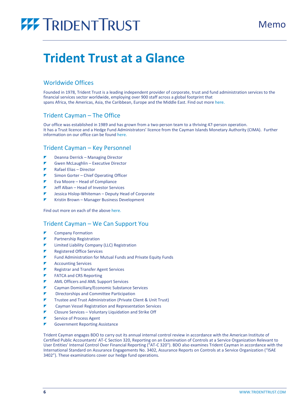### <span id="page-5-1"></span><span id="page-5-0"></span>**Trident Trust at a Glance**

### Worldwide Offices

Founded in 1978, Trident Trust is a leading independent provider of corporate, trust and fund administration services to the financial services sector worldwide, employing over 900 staff across a global footprint that spans Africa, the Americas, Asia, the Caribbean, Europe and the Middle East. Find out mor[e here.](https://tridenttrust.com/)

### Trident Cayman – The Office

Our office was established in 1989 and has grown from a two-person team to a thriving 47-person operation. It has a Trust licence and a Hedge Fund Administrators' licence from the Cayman Islands Monetary Authority (CIMA). Further information on our office can be foun[d here.](https://tridenttrust.com/locations/cayman-islands/)

### Trident Cayman – Key Personnel

- Deanna Derrick Managing Director
- Gwen McLaughlin Executive Director
- Rafael Elias Director
- Simon Gorter Chief Operating Officer
- Eva Moore Head of Compliance
- Jeff Alban Head of Investor Services
- Jessica Hislop-Whiteman Deputy Head of Corporate
- Kristin Brown Manager Business Development

Find out more on each of the above [here.](https://www.tridenttrust.com/about-us/our-people/americas-and-caribbean/cayman-islands/)

### Trident Cayman – We Can Support You

- Company Formation
- Partnership Registration
- Limited Liability Company (LLC) Registration
- Registered Office Services
- Fund Administration for Mutual Funds and Private Equity Funds
- Accounting Services
- Registrar and Transfer Agent Services
- FATCA and CRS Reporting
- AML Officers and AML Support Services
- Cayman Domiciliary/Economic Substance Services
- Directorships and Committee Participation
- Trustee and Trust Administration (Private Client & Unit Trust)
- Cayman Vessel Registration and Representation Services
- Closure Services Voluntary Liquidation and Strike Off
- Service of Process Agent
- Government Reporting Assistance

Trident Cayman engages BDO to carry out its annual internal control review in accordance with the American Institute of Certified Public Accountants' AT-C Section 320, Reporting on an Examination of Controls at a Service Organization Relevant to User Entities' Internal Control Over Financial Reporting ("AT-C 320"). BDO also examines Trident Cayman in accordance with the International Standard on Assurance Engagements No. 3402, Assurance Reports on Controls at a Service Organization ("ISAE 3402"). These examinations cover our hedge fund operations.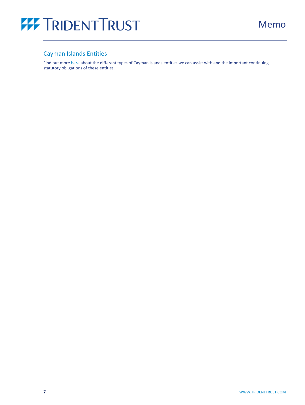

### Cayman Islands Entities

Find out more [here a](https://tridenttrust.com/locations/cayman-islands/)bout the different types of Cayman Islands entities we can assist with and the important continuing statutory obligations of these entities.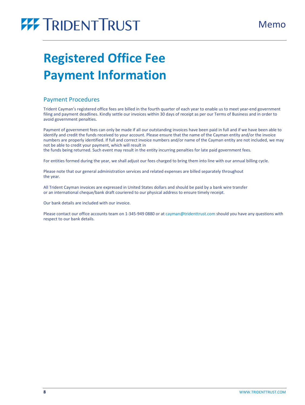## <span id="page-7-1"></span><span id="page-7-0"></span>**Registered Office Fee Payment Information**

### Payment Procedures

Trident Cayman's registered office fees are billed in the fourth quarter of each year to enable us to meet year-end government filing and payment deadlines. Kindly settle our invoices within 30 days of receipt as per our Terms of Business and in order to avoid government penalties.

Payment of government fees can only be made if all our outstanding invoices have been paid in full and if we have been able to identify and credit the funds received to your account. Please ensure that the name of the Cayman entity and/or the invoice numbers are properly identified. If full and correct invoice numbers and/or name of the Cayman entity are not included, we may not be able to credit your payment, which will result in

the funds being returned. Such event may result in the entity incurring penalties for late paid government fees.

For entities formed during the year, we shall adjust our fees charged to bring them into line with our annual billing cycle.

Please note that our general administration services and related expenses are billed separately throughout the year.

All Trident Cayman invoices are expressed in United States dollars and should be paid by a bank wire transfer or an international cheque/bank draft couriered to our physical address to ensure timely receipt.

Our bank details are included with our invoice.

Please contact our office accounts team on 1-345-949 0880 or a[t cayman@tridenttrust.com](mailto:cayman@tridenttrust.com) should you have any questions with respect to our bank details.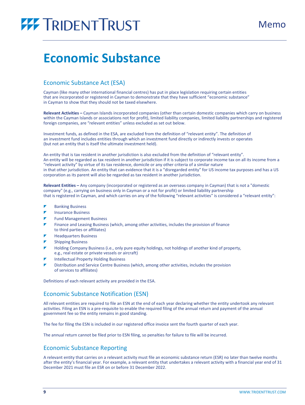## <span id="page-8-1"></span><span id="page-8-0"></span>**Economic Substance**

### Economic Substance Act (ESA)

Cayman (like many other international financial centres) has put in place legislation requiring certain entities that are incorporated or registered in Cayman to demonstrate that they have sufficient "economic substance" in Cayman to show that they should not be taxed elsewhere.

**Relevant Activities –** Cayman Islands incorporated companies (other than certain domestic companies which carry on business within the Cayman Islands or associations not for profit), limited liability companies, limited liability partnerships and registered foreign companies, are "relevant entities" unless excluded as set out below.

Investment funds, as defined in the ESA, are excluded from the definition of "relevant entity". The definition of an investment fund includes entities through which an investment fund directly or indirectly invests or operates (but not an entity that is itself the ultimate investment held).

An entity that is tax resident in another jurisdiction is also excluded from the definition of "relevant entity". An entity will be regarded as tax resident in another jurisdiction if it is subject to corporate income tax on all its income from a "relevant activity" by virtue of its tax residence, domicile or any other criteria of a similar nature in that other jurisdiction. An entity that can evidence that it is a "disregarded entity" for US income tax purposes and has a US corporation as its parent will also be regarded as tax resident in another jurisdiction.

**Relevant Entities –** Any company (incorporated or registered as an overseas company in Cayman) that is not a "domestic company" (e.g., carrying on business only in Cayman or a not for profit) or limited liability partnership that is registered in Cayman, and which carries on any of the following "relevant activities" is considered a "relevant entity":

- Banking Business
- Insurance Business
- Fund Management Business
- Finance and Leasing Business (which, among other activities, includes the provision of finance to third parties or affiliates)
- Headquarters Business
- Shipping Business
- Holding Company Business (i.e., only pure equity holdings, not holdings of another kind of property, e.g., real estate or private vessels or aircraft)
- Intellectual Property Holding Business
- Distribution and Service Centre Business (which, among other activities, includes the provision of services to affiliates)

Definitions of each relevant activity are provided in the ESA.

### Economic Substance Notification (ESN)

All relevant entities are required to file an ESN at the end of each year declaring whether the entity undertook any relevant activities. Filing an ESN is a pre-requisite to enable the required filing of the annual return and payment of the annual government fee so the entity remains in good standing.

The fee for filing the ESN is included in our registered office invoice sent the fourth quarter of each year.

The annual return cannot be filed prior to ESN filing, so penalties for failure to file will be incurred.

### Economic Substance Reporting

A relevant entity that carries on a relevant activity must file an economic substance return (ESR) no later than twelve months after the entity's financial year. For example, a relevant entity that undertakes a relevant activity with a financial year end of 31 December 2021 must file an ESR on or before 31 December 2022.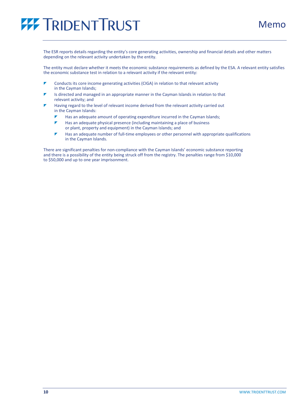Memo



The ESR reports details regarding the entity's core generating activities, ownership and financial details and other matters depending on the relevant activity undertaken by the entity.

The entity must declare whether it meets the economic substance requirements as defined by the ESA. A relevant entity satisfies the economic substance test in relation to a relevant activity if the relevant entity:

- Conducts its core income generating activities (CIGA) in relation to that relevant activity in the Cayman Islands;
- Is directed and managed in an appropriate manner in the Cayman Islands in relation to that relevant activity; and
- Having regard to the level of relevant income derived from the relevant activity carried out in the Cayman Islands:
	- Has an adequate amount of operating expenditure incurred in the Cayman Islands;
	- Has an adequate physical presence (including maintaining a place of business or plant, property and equipment) in the Cayman Islands; and
	- Has an adequate number of full-time employees or other personnel with appropriate qualifications in the Cayman Islands.

There are significant penalties for non-compliance with the Cayman Islands' economic substance reporting and there is a possibility of the entity being struck off from the registry. The penalties range from \$10,000 to \$50,000 and up to one year imprisonment.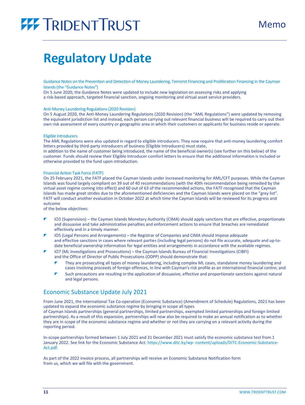## <span id="page-10-1"></span><span id="page-10-0"></span>**Regulatory Update**

Guidance Notes on the Prevention and Detection of Money Laundering, Terrorist Financing and Proliferation Financing in the Cayman Islands (the "Guidance Notes")

On 5 June 2020, the Guidance Notes were updated to include new legislation on assessing risks and applying a risk-based approach, targeted financial sanction, ongoing monitoring and virtual asset service providers.

### Anti-Money Laundering Regulations(2020 Revision)

On 5 August 2020, the Anti-Money Laundering Regulations (2020 Revision) (the "AML Regulations") were updated by removing the equivalent jurisdiction list and instead, each person carrying out relevant financial business will be required to carry out their own risk assessment of every country or geographic area in which their customers or applicants for business reside or operate.

### Eligible Introducers

The AML Regulations were also updated in regard to eligible introducers. They now require that anti-money laundering comfort letters provided by third-party introducers of business (Eligible Introducers) must state, in addition to the name of customer being introduced, the name of the beneficial owner(s) (see further on this below) of the

customer. Funds should review their Eligible Introducer comfort letters to ensure that the additional information is included or otherwise provided to the fund upon introduction.

### Financial Action Task Force (FATF)

On 25 February 2021, the FATF placed the Cayman Islands under increased monitoring for AML/CFT purposes. While the Cayman Islands was found largely compliant on 39 out of 40 recommendations (with the 40th recommendation being remedied by the virtual asset regime coming into effect) and 60 out of 63 of the recommended actions, the FATF recognised that the Cayman Islands has made great strides due to the aforementioned deficiencies and the Cayman Islands were placed on the "grey list". FATF will conduct another evaluation in October 2022 at which time the Cayman Islands will be reviewed for its progress and outcome

of the below objectives:

- IO3 (Supervision) the Cayman Islands Monetary Authority (CIMA) should apply sanctions that are effective, proportionate and dissuasive and take administrative penalties and enforcement actions to ensure that breaches are remediated effectively and in a timely manner.
- IO5 (Legal Persons and Arrangements) the Registrar of Companies and CIMA should impose adequate and effective sanctions in cases where relevant parties (including legal persons) do not file accurate, adequate and up-todate beneficial ownership information for legal entities and arrangements in accordance with the available regimes.
- IO7 (ML Investigations and Prosecutions) the Cayman Islands Bureau of Financial Investigations (CIBFI) and the Office of Director of Public Prosecutions (ODPP) should demonstrate that:
	- They are prosecuting all types of money laundering, including complex ML cases, standalone money laundering and cases involving proceeds of foreign offences, in line with Cayman's risk profile as an international financial centre; and
	- Such precautions are resulting in the application of dissuasive, effective and proportionate sanctions against natural and legal persons.

### Economic Substance Update July 2021

From June 2021, the International Tax Co-operation (Economic Substance) (Amendment of Schedule) Regulations, 2021 has been updated to expand the economic substance regime by bringing in scope all types

of Cayman Islands partnerships (general partnerships, limited partnerships, exempted limited partnerships and foreign limited partnerships). As a result of this expansion, partnerships will now also be required to make an annual notification as to whether they are in scope of the economic substance regime and whether or not they are carrying on a relevant activity during the reporting period.

In-scope partnerships formed between 1 July 2021 and 31 December 2021 must satisfy the economic substance test from 1 January 2022. See link for the Economic Substance Act: [https://www.ditc.ky/wp-](https://www.ditc.ky/wp-content/uploads/DITC-Economic-Substance-Act.pdf) [content/uploads/DITC-Economic-Substance-](https://www.ditc.ky/wp-content/uploads/DITC-Economic-Substance-Act.pdf)[Act.pdf.](https://www.ditc.ky/wp-content/uploads/DITC-Economic-Substance-Act.pdf)

As part of the 2022 invoice process, all partnerships will receive an Economic Substance Notification form from us, which we will file with the government.